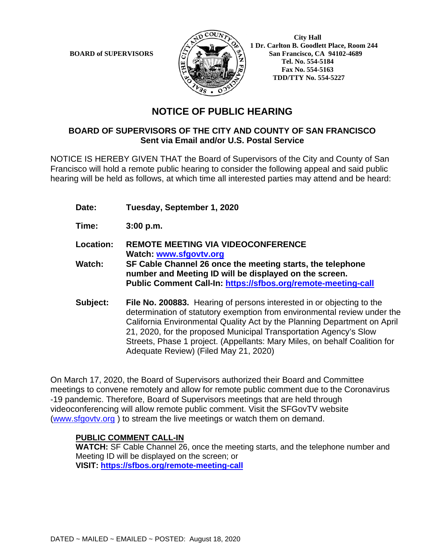

**BOARD of SUPERVISORS**  $\mathbb{R}$  **1 Dr.** Carlton B. Goodlett Place, Room 244 **San Francisco, CA 94102-4689 Tel. No. 554-5184 Fax No. 554-5163 TDD/TTY No. 554-5227**

## **NOTICE OF PUBLIC HEARING**

## **BOARD OF SUPERVISORS OF THE CITY AND COUNTY OF SAN FRANCISCO Sent via Email and/or U.S. Postal Service**

NOTICE IS HEREBY GIVEN THAT the Board of Supervisors of the City and County of San Francisco will hold a remote public hearing to consider the following appeal and said public hearing will be held as follows, at which time all interested parties may attend and be heard:

- **Date: Tuesday, September 1, 2020**
- **Time: 3:00 p.m.**
- **Location: REMOTE MEETING VIA VIDEOCONFERENCE Watch: www.sfgovtv.org**
- **Watch: SF Cable Channel 26 once the meeting starts, the telephone number and Meeting ID will be displayed on the screen. Public Comment Call-In: https://sfbos.org/remote-meeting-call**
- **Subject: File No. 200883.** Hearing of persons interested in or objecting to the determination of statutory exemption from environmental review under the California Environmental Quality Act by the Planning Department on April 21, 2020, for the proposed Municipal Transportation Agency's Slow Streets, Phase 1 project. (Appellants: Mary Miles, on behalf Coalition for Adequate Review) (Filed May 21, 2020)

On March 17, 2020, the Board of Supervisors authorized their Board and Committee meetings to convene remotely and allow for remote public comment due to the Coronavirus -19 pandemic. Therefore, Board of Supervisors meetings that are held through videoconferencing will allow remote public comment. Visit the SFGovTV website (www.sfgovtv.org ) to stream the live meetings or watch them on demand.

## **PUBLIC COMMENT CALL-IN**

**WATCH:** SF Cable Channel 26, once the meeting starts, and the telephone number and Meeting ID will be displayed on the screen; or **VISIT: https://sfbos.org/remote-meeting-call**